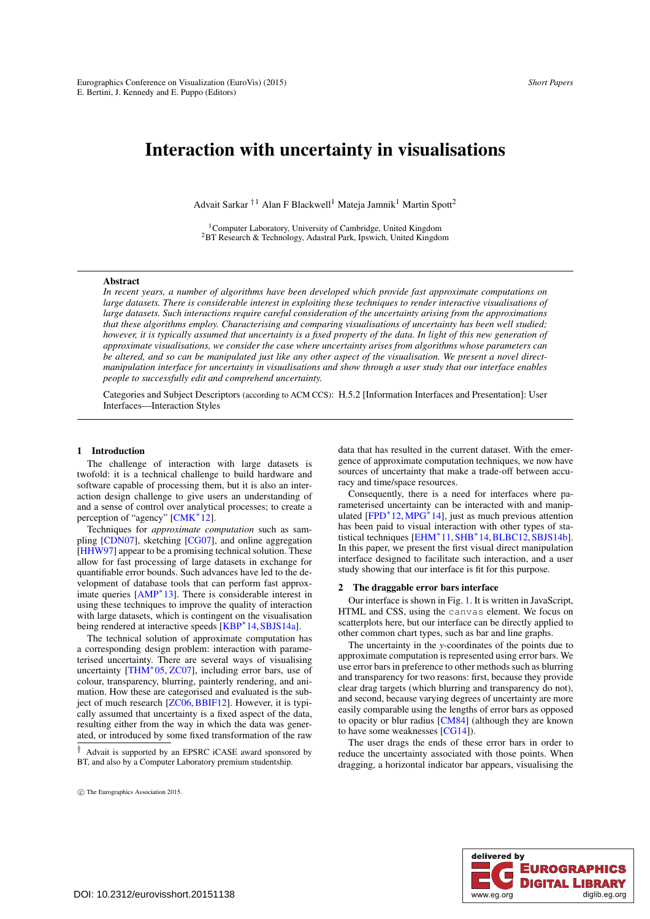# <span id="page-0-0"></span>Interaction with uncertainty in visualisations

Advait Sarkar  $^{\dagger1}$  Alan F Blackwell<sup>1</sup> Mateja Jamnik<sup>1</sup> Martin Spott<sup>2</sup>

<sup>1</sup>Computer Laboratory, University of Cambridge, United Kingdom <sup>2</sup>BT Research & Technology, Adastral Park, Ipswich, United Kingdom

# **Abstract**

*In recent years, a number of algorithms have been developed which provide fast approximate computations on large datasets. There is considerable interest in exploiting these techniques to render interactive visualisations of large datasets. Such interactions require careful consideration of the uncertainty arising from the approximations that these algorithms employ. Characterising and comparing visualisations of uncertainty has been well studied; however, it is typically assumed that uncertainty is a fixed property of the data. In light of this new generation of approximate visualisations, we consider the case where uncertainty arises from algorithms whose parameters can be altered, and so can be manipulated just like any other aspect of the visualisation. We present a novel directmanipulation interface for uncertainty in visualisations and show through a user study that our interface enables people to successfully edit and comprehend uncertainty.*

Categories and Subject Descriptors (according to ACM CCS): H.5.2 [Information Interfaces and Presentation]: User Interfaces—Interaction Styles

# 1 Introduction

The challenge of interaction with large datasets is twofold: it is a technical challenge to build hardware and software capable of processing them, but it is also an interaction design challenge to give users an understanding of and a sense of control over analytical processes; to create a perception of "agency" [\[CMK](#page-4-0)<sup>\*12</sup>].

Techniques for *approximate computation* such as sampling [\[CDN07\]](#page-4-1), sketching [\[CG07\]](#page-4-2), and online aggregation [\[HHW97\]](#page-4-3) appear to be a promising technical solution. These allow for fast processing of large datasets in exchange for quantifiable error bounds. Such advances have led to the development of database tools that can perform fast approximate queries [\[AMP](#page-4-4)∗13]. There is considerable interest in using these techniques to improve the quality of interaction with large datasets, which is contingent on the visualisation being rendered at interactive speeds [\[KBP](#page-4-5)<sup>∗</sup>14, SBJS14a].

The technical solution of approximate computation has a corresponding design problem: interaction with parameterised uncertainty. There are several ways of visualising uncertainty  $[THM^*05, ZCO7]$  $[THM^*05, ZCO7]$ , including error bars, use of colour, transparency, blurring, painterly rendering, and animation. How these are categorised and evaluated is the sub-ject of much research [\[ZC06,](#page-4-9) [BBIF12\]](#page-4-10). However, it is typically assumed that uncertainty is a fixed aspect of the data, resulting either from the way in which the data was generated, or introduced by some fixed transformation of the raw

data that has resulted in the current dataset. With the emergence of approximate computation techniques, we now have sources of uncertainty that make a trade-off between accuracy and time/space resources.

Consequently, there is a need for interfaces where parameterised uncertainty can be interacted with and manipulated  $[FPD<sup>*</sup>12, MPC<sup>*</sup>14]$  $[FPD<sup>*</sup>12, MPC<sup>*</sup>14]$ , just as much previous attention has been paid to visual interaction with other types of statistical techniques [\[EHM](#page-4-13)∗11[,SHB](#page-4-14)∗14,[BLBC12,](#page-4-15)[SBJS14b\]](#page-4-16). In this paper, we present the first visual direct manipulation interface designed to facilitate such interaction, and a user study showing that our interface is fit for this purpose.

# 2 The draggable error bars interface

Our interface is shown in Fig. [1.](#page-1-0) It is written in JavaScript, HTML and CSS, using the canvas element. We focus on scatterplots here, but our interface can be directly applied to other common chart types, such as bar and line graphs.

The uncertainty in the *y*-coordinates of the points due to approximate computation is represented using error bars. We use error bars in preference to other methods such as blurring and transparency for two reasons: first, because they provide clear drag targets (which blurring and transparency do not), and second, because varying degrees of uncertainty are more easily comparable using the lengths of error bars as opposed to opacity or blur radius [\[CM84\]](#page-4-17) (although they are known to have some weaknesses [\[CG14\]](#page-4-18)).

The user drags the ends of these error bars in order to reduce the uncertainty associated with those points. When dragging, a horizontal indicator bar appears, visualising the



<sup>†</sup> Advait is supported by an EPSRC iCASE award sponsored by BT, and also by a Computer Laboratory premium studentship.

c The Eurographics Association 2015.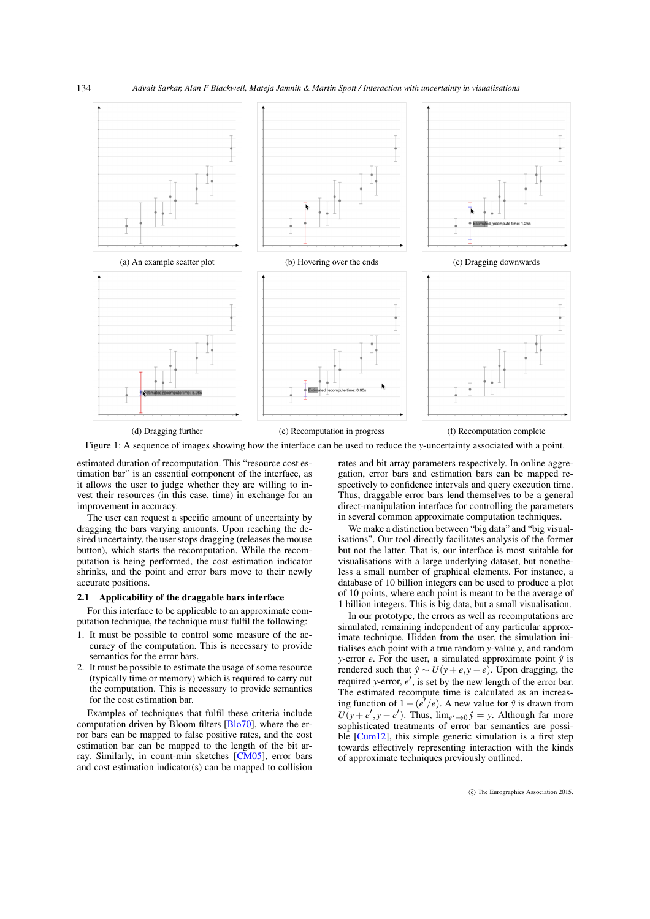### *Advait Sarkar, Alan F Blackwell, Mateja Jamnik & Martin Spott / Interaction with uncertainty in visualisations*

<span id="page-1-0"></span>

<span id="page-1-2"></span>134

(d) Dragging further (e) Recomputation in progress (f) Recomputation complete

Figure 1: A sequence of images showing how the interface can be used to reduce the *y*-uncertainty associated with a point.

estimated duration of recomputation. This "resource cost estimation bar" is an essential component of the interface, as it allows the user to judge whether they are willing to invest their resources (in this case, time) in exchange for an improvement in accuracy.

The user can request a specific amount of uncertainty by dragging the bars varying amounts. Upon reaching the desired uncertainty, the user stops dragging (releases the mouse button), which starts the recomputation. While the recomputation is being performed, the cost estimation indicator shrinks, and the point and error bars move to their newly accurate positions.

# <span id="page-1-1"></span>2.1 Applicability of the draggable bars interface

For this interface to be applicable to an approximate computation technique, the technique must fulfil the following:

- 1. It must be possible to control some measure of the accuracy of the computation. This is necessary to provide semantics for the error bars.
- 2. It must be possible to estimate the usage of some resource (typically time or memory) which is required to carry out the computation. This is necessary to provide semantics for the cost estimation bar.

Examples of techniques that fulfil these criteria include computation driven by Bloom filters [\[Blo70\]](#page-4-19), where the error bars can be mapped to false positive rates, and the cost estimation bar can be mapped to the length of the bit array. Similarly, in count-min sketches [\[CM05\]](#page-4-20), error bars and cost estimation indicator(s) can be mapped to collision

rates and bit array parameters respectively. In online aggregation, error bars and estimation bars can be mapped respectively to confidence intervals and query execution time. Thus, draggable error bars lend themselves to be a general direct-manipulation interface for controlling the parameters in several common approximate computation techniques.

We make a distinction between "big data" and "big visualisations". Our tool directly facilitates analysis of the former but not the latter. That is, our interface is most suitable for visualisations with a large underlying dataset, but nonetheless a small number of graphical elements. For instance, a database of 10 billion integers can be used to produce a plot of 10 points, where each point is meant to be the average of 1 billion integers. This is big data, but a small visualisation.

In our prototype, the errors as well as recomputations are simulated, remaining independent of any particular approximate technique. Hidden from the user, the simulation initialises each point with a true random *y*-value *y*, and random *y*-error *e*. For the user, a simulated approximate point  $\hat{y}$  is rendered such that  $\hat{y} \sim U(y + e, y - e)$ . Upon dragging, the required *y*-error,  $e'$ , is set by the new length of the error bar. The estimated recompute time is calculated as an increasing function of  $1 - (e^7/e)$ . A new value for  $\hat{y}$  is drawn from  $U(y + e', y - e')$ . Thus,  $\lim_{e' \to 0} \hat{y} = y$ . Although far more sophisticated treatments of error bar semantics are possi-ble [\[Cum12\]](#page-4-21), this simple generic simulation is a first step towards effectively representing interaction with the kinds of approximate techniques previously outlined.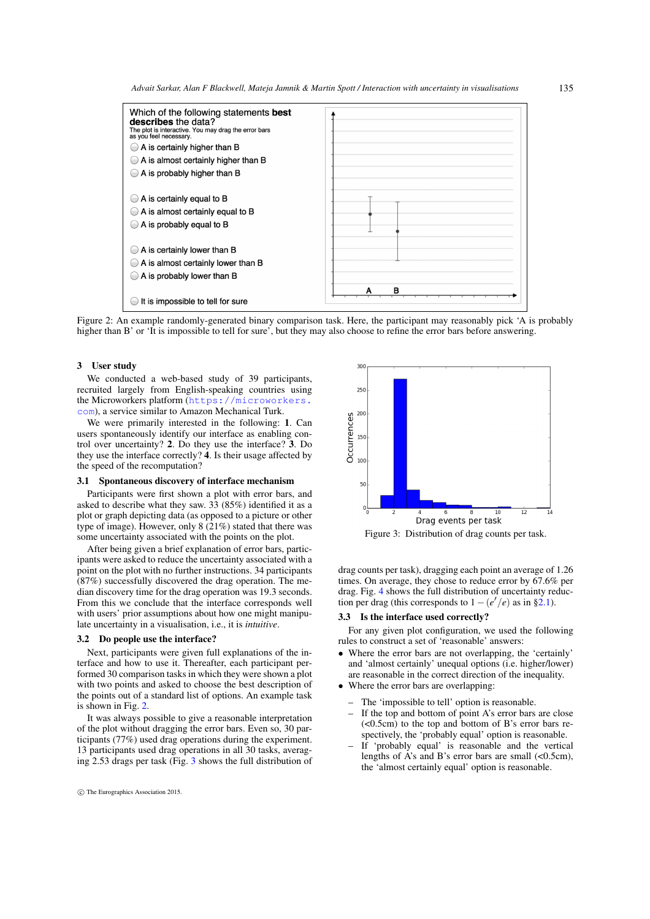*Advait Sarkar, Alan F Blackwell, Mateja Jamnik & Martin Spott / Interaction with uncertainty in visualisations*

<span id="page-2-0"></span>

Figure 2: An example randomly-generated binary comparison task. Here, the participant may reasonably pick 'A is probably higher than B' or 'It is impossible to tell for sure', but they may also choose to refine the error bars before answering.

## 3 User study

We conducted a web-based study of 39 participants, recruited largely from English-speaking countries using the Microworkers platform ([https://microworkers.](https://microworkers.com) [com](https://microworkers.com)), a service similar to Amazon Mechanical Turk.

We were primarily interested in the following: 1. Can users spontaneously identify our interface as enabling control over uncertainty? 2. Do they use the interface? 3. Do they use the interface correctly? 4. Is their usage affected by the speed of the recomputation?

## 3.1 Spontaneous discovery of interface mechanism

Participants were first shown a plot with error bars, and asked to describe what they saw. 33 (85%) identified it as a plot or graph depicting data (as opposed to a picture or other type of image). However, only 8 (21%) stated that there was some uncertainty associated with the points on the plot.

After being given a brief explanation of error bars, participants were asked to reduce the uncertainty associated with a point on the plot with no further instructions. 34 participants (87%) successfully discovered the drag operation. The median discovery time for the drag operation was 19.3 seconds. From this we conclude that the interface corresponds well with users' prior assumptions about how one might manipulate uncertainty in a visualisation, i.e., it is *intuitive*.

#### 3.2 Do people use the interface?

Next, participants were given full explanations of the interface and how to use it. Thereafter, each participant performed 30 comparison tasks in which they were shown a plot with two points and asked to choose the best description of the points out of a standard list of options. An example task is shown in Fig. [2.](#page-2-0)

It was always possible to give a reasonable interpretation of the plot without dragging the error bars. Even so, 30 participants (77%) used drag operations during the experiment. 13 participants used drag operations in all 30 tasks, averaging 2.53 drags per task (Fig. [3](#page-2-1) shows the full distribution of

<span id="page-2-1"></span>

Figure 3: Distribution of drag counts per task.

drag counts per task), dragging each point an average of 1.26 times. On average, they chose to reduce error by 67.6% per drag. Fig. [4](#page-3-0) shows the full distribution of uncertainty reduction per drag (this corresponds to  $1 - (e'/e)$  as in [§2.1\)](#page-1-1).

# 3.3 Is the interface used correctly?

For any given plot configuration, we used the following rules to construct a set of 'reasonable' answers:

- Where the error bars are not overlapping, the 'certainly' and 'almost certainly' unequal options (i.e. higher/lower) are reasonable in the correct direction of the inequality.
- Where the error bars are overlapping:
	- The 'impossible to tell' option is reasonable.
	- If the top and bottom of point A's error bars are close (<0.5cm) to the top and bottom of B's error bars respectively, the 'probably equal' option is reasonable.
	- If 'probably equal' is reasonable and the vertical lengths of A's and B's error bars are small (<0.5cm), the 'almost certainly equal' option is reasonable.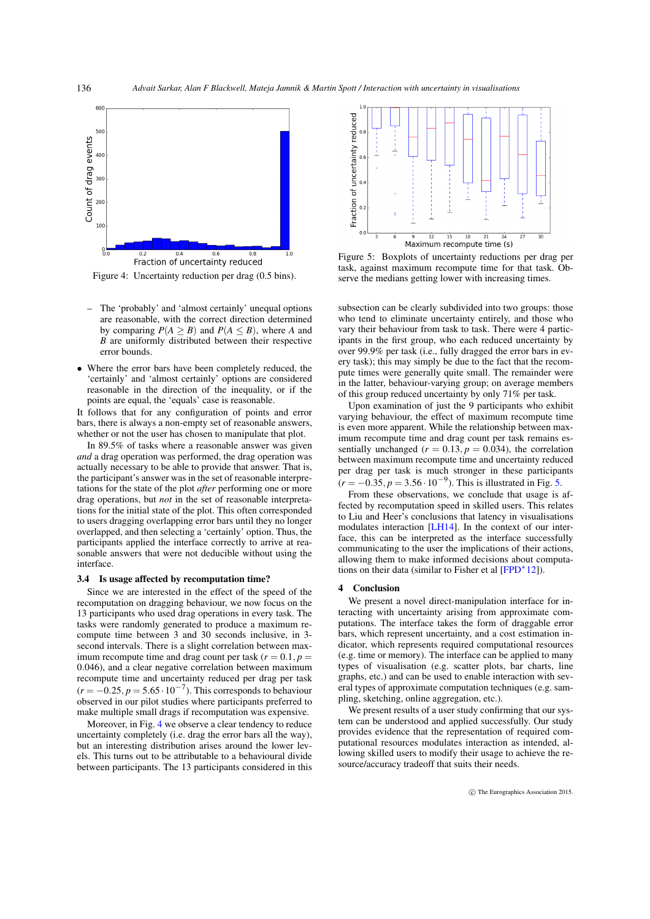<span id="page-3-2"></span><span id="page-3-0"></span>

Figure 4: Uncertainty reduction per drag (0.5 bins).

- The 'probably' and 'almost certainly' unequal options are reasonable, with the correct direction determined by comparing  $P(A > B)$  and  $P(A \leq B)$ , where *A* and  $\vec{B}$  are uniformly distributed between their respective error bounds.
- Where the error bars have been completely reduced, the 'certainly' and 'almost certainly' options are considered reasonable in the direction of the inequality, or if the points are equal, the 'equals' case is reasonable.

It follows that for any configuration of points and error bars, there is always a non-empty set of reasonable answers, whether or not the user has chosen to manipulate that plot.

In 89.5% of tasks where a reasonable answer was given *and* a drag operation was performed, the drag operation was actually necessary to be able to provide that answer. That is, the participant's answer was in the set of reasonable interpretations for the state of the plot *after* performing one or more drag operations, but *not* in the set of reasonable interpretations for the initial state of the plot. This often corresponded to users dragging overlapping error bars until they no longer overlapped, and then selecting a 'certainly' option. Thus, the participants applied the interface correctly to arrive at reasonable answers that were not deducible without using the interface.

#### 3.4 Is usage affected by recomputation time?

Since we are interested in the effect of the speed of the recomputation on dragging behaviour, we now focus on the 13 participants who used drag operations in every task. The tasks were randomly generated to produce a maximum recompute time between 3 and 30 seconds inclusive, in 3 second intervals. There is a slight correlation between maximum recompute time and drag count per task  $(r = 0.1, p =$ 0.046), and a clear negative correlation between maximum recompute time and uncertainty reduced per drag per task  $(r = -0.25, p = 5.65 \cdot 10^{-7})$ . This corresponds to behaviour observed in our pilot studies where participants preferred to make multiple small drags if recomputation was expensive.

Moreover, in Fig. [4](#page-3-0) we observe a clear tendency to reduce uncertainty completely (i.e. drag the error bars all the way), but an interesting distribution arises around the lower levels. This turns out to be attributable to a behavioural divide between participants. The 13 participants considered in this

<span id="page-3-1"></span>

Figure 5: Boxplots of uncertainty reductions per drag per task, against maximum recompute time for that task. Observe the medians getting lower with increasing times.

subsection can be clearly subdivided into two groups: those who tend to eliminate uncertainty entirely, and those who vary their behaviour from task to task. There were 4 participants in the first group, who each reduced uncertainty by over 99.9% per task (i.e., fully dragged the error bars in every task); this may simply be due to the fact that the recompute times were generally quite small. The remainder were in the latter, behaviour-varying group; on average members of this group reduced uncertainty by only 71% per task.

Upon examination of just the 9 participants who exhibit varying behaviour, the effect of maximum recompute time is even more apparent. While the relationship between maximum recompute time and drag count per task remains essentially unchanged  $(r = 0.13, p = 0.034)$ , the correlation between maximum recompute time and uncertainty reduced per drag per task is much stronger in these participants  $(r = -0.35, p = 3.56 \cdot 10^{-9})$ . This is illustrated in Fig. [5.](#page-3-1)

From these observations, we conclude that usage is affected by recomputation speed in skilled users. This relates to Liu and Heer's conclusions that latency in visualisations modulates interaction [\[LH14\]](#page-4-22). In the context of our interface, this can be interpreted as the interface successfully communicating to the user the implications of their actions, allowing them to make informed decisions about computations on their data (similar to Fisher et al  $[FPD^*12]$  $[FPD^*12]$ ).

#### 4 Conclusion

We present a novel direct-manipulation interface for interacting with uncertainty arising from approximate computations. The interface takes the form of draggable error bars, which represent uncertainty, and a cost estimation indicator, which represents required computational resources (e.g. time or memory). The interface can be applied to many types of visualisation (e.g. scatter plots, bar charts, line graphs, etc.) and can be used to enable interaction with several types of approximate computation techniques (e.g. sampling, sketching, online aggregation, etc.).

We present results of a user study confirming that our system can be understood and applied successfully. Our study provides evidence that the representation of required computational resources modulates interaction as intended, allowing skilled users to modify their usage to achieve the resource/accuracy tradeoff that suits their needs.